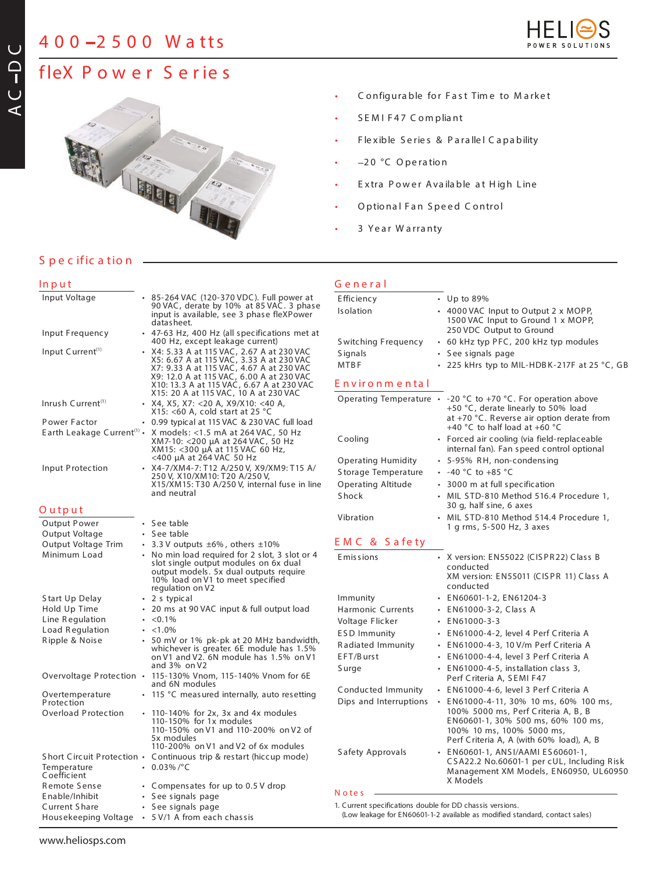# **4 0 0 2 5 0 0 W a tts**



# **fleX P o w e r S e r ie s**



- C onfigura ble for F a st Tim e to M a rke t
- S E M I F 4 7 C om plia nt
- Flexible Series & Parallel Capability
- $-20$  °C Operation
- Extra Power Available at High Line
- Optional Fan Speed Control
- 3 Year Warranty

## **S p e c ific a tio n**

## **In p u t**

|                                        | 90 VAC, derate by 10% at 85 VAC. 3 phase<br>input is available, see 3 phase fleXPower<br>datas heet.                                                                          | E ffic i<br>Is olat                                                                                                                                                                                                                                                                                                                                                                                                                                                                                                                                                                                                                                                                                                                                                                                                                                                                                                                                                                 |
|----------------------------------------|-------------------------------------------------------------------------------------------------------------------------------------------------------------------------------|-------------------------------------------------------------------------------------------------------------------------------------------------------------------------------------------------------------------------------------------------------------------------------------------------------------------------------------------------------------------------------------------------------------------------------------------------------------------------------------------------------------------------------------------------------------------------------------------------------------------------------------------------------------------------------------------------------------------------------------------------------------------------------------------------------------------------------------------------------------------------------------------------------------------------------------------------------------------------------------|
|                                        |                                                                                                                                                                               | S witc                                                                                                                                                                                                                                                                                                                                                                                                                                                                                                                                                                                                                                                                                                                                                                                                                                                                                                                                                                              |
|                                        | X5: 6.67 A at 115 VAC, 3.33 A at 230 VAC<br>X7: 9.33 A at 115 VAC, 4.67 A at 230 VAC<br>X9: 12.0 A at 115 VAC, 6.00 A at 230 VAC<br>X10: 13.3 A at 115 VAC, 6.67 A at 230 VAC | Signa<br><b>MTBI</b><br>Env                                                                                                                                                                                                                                                                                                                                                                                                                                                                                                                                                                                                                                                                                                                                                                                                                                                                                                                                                         |
|                                        | X15: <60 A, cold start at 25 °C                                                                                                                                               | Oper                                                                                                                                                                                                                                                                                                                                                                                                                                                                                                                                                                                                                                                                                                                                                                                                                                                                                                                                                                                |
|                                        | 0.99 typical at 115 VAC & 230 VAC full load                                                                                                                                   |                                                                                                                                                                                                                                                                                                                                                                                                                                                                                                                                                                                                                                                                                                                                                                                                                                                                                                                                                                                     |
| Earth Leakage Current <sup>(1)</sup> . | X models: <1.5 mA at 264 VAC, 50 Hz<br>XM7-10: <200 μA at 264 VAC, 50 Hz<br>XM15: <300 µA at 115 VAC 60 Hz,                                                                   | Cooli                                                                                                                                                                                                                                                                                                                                                                                                                                                                                                                                                                                                                                                                                                                                                                                                                                                                                                                                                                               |
|                                        |                                                                                                                                                                               | Oper                                                                                                                                                                                                                                                                                                                                                                                                                                                                                                                                                                                                                                                                                                                                                                                                                                                                                                                                                                                |
|                                        |                                                                                                                                                                               | S tora                                                                                                                                                                                                                                                                                                                                                                                                                                                                                                                                                                                                                                                                                                                                                                                                                                                                                                                                                                              |
|                                        | X15/XM15: T30 A/250 V, internal fuse in line                                                                                                                                  | Oper                                                                                                                                                                                                                                                                                                                                                                                                                                                                                                                                                                                                                                                                                                                                                                                                                                                                                                                                                                                |
|                                        |                                                                                                                                                                               | S hoc                                                                                                                                                                                                                                                                                                                                                                                                                                                                                                                                                                                                                                                                                                                                                                                                                                                                                                                                                                               |
|                                        |                                                                                                                                                                               | Vibra                                                                                                                                                                                                                                                                                                                                                                                                                                                                                                                                                                                                                                                                                                                                                                                                                                                                                                                                                                               |
|                                        |                                                                                                                                                                               |                                                                                                                                                                                                                                                                                                                                                                                                                                                                                                                                                                                                                                                                                                                                                                                                                                                                                                                                                                                     |
|                                        |                                                                                                                                                                               |                                                                                                                                                                                                                                                                                                                                                                                                                                                                                                                                                                                                                                                                                                                                                                                                                                                                                                                                                                                     |
|                                        |                                                                                                                                                                               | E M (                                                                                                                                                                                                                                                                                                                                                                                                                                                                                                                                                                                                                                                                                                                                                                                                                                                                                                                                                                               |
|                                        | slot single output modules on 6x dual<br>output models. 5x dual outputs require<br>10% load on V1 to meet specified                                                           | E mis:                                                                                                                                                                                                                                                                                                                                                                                                                                                                                                                                                                                                                                                                                                                                                                                                                                                                                                                                                                              |
|                                        |                                                                                                                                                                               | Immu                                                                                                                                                                                                                                                                                                                                                                                                                                                                                                                                                                                                                                                                                                                                                                                                                                                                                                                                                                                |
|                                        | 20 ms at 90 VAC input & full output load                                                                                                                                      | Harm                                                                                                                                                                                                                                                                                                                                                                                                                                                                                                                                                                                                                                                                                                                                                                                                                                                                                                                                                                                |
|                                        | $< 0.1\%$                                                                                                                                                                     | Volta                                                                                                                                                                                                                                                                                                                                                                                                                                                                                                                                                                                                                                                                                                                                                                                                                                                                                                                                                                               |
|                                        | < 1.0%                                                                                                                                                                        | ESD                                                                                                                                                                                                                                                                                                                                                                                                                                                                                                                                                                                                                                                                                                                                                                                                                                                                                                                                                                                 |
|                                        | 50 mV or 1% pk-pk at 20 MHz bandwidth,                                                                                                                                        | Radia                                                                                                                                                                                                                                                                                                                                                                                                                                                                                                                                                                                                                                                                                                                                                                                                                                                                                                                                                                               |
|                                        |                                                                                                                                                                               | EFT/I                                                                                                                                                                                                                                                                                                                                                                                                                                                                                                                                                                                                                                                                                                                                                                                                                                                                                                                                                                               |
|                                        | and $3\%$ on V2                                                                                                                                                               | S urg                                                                                                                                                                                                                                                                                                                                                                                                                                                                                                                                                                                                                                                                                                                                                                                                                                                                                                                                                                               |
|                                        | and 6N modules                                                                                                                                                                |                                                                                                                                                                                                                                                                                                                                                                                                                                                                                                                                                                                                                                                                                                                                                                                                                                                                                                                                                                                     |
|                                        |                                                                                                                                                                               | Cond<br>Dips                                                                                                                                                                                                                                                                                                                                                                                                                                                                                                                                                                                                                                                                                                                                                                                                                                                                                                                                                                        |
|                                        | 110-140% for 2x, 3x and 4x modules<br>110-150% for 1x modules<br>110-150% on V1 and 110-200% on V2 of<br>5x modules<br>110-200% on V1 and V2 of 6x modules                    |                                                                                                                                                                                                                                                                                                                                                                                                                                                                                                                                                                                                                                                                                                                                                                                                                                                                                                                                                                                     |
|                                        |                                                                                                                                                                               | S afet                                                                                                                                                                                                                                                                                                                                                                                                                                                                                                                                                                                                                                                                                                                                                                                                                                                                                                                                                                              |
|                                        |                                                                                                                                                                               |                                                                                                                                                                                                                                                                                                                                                                                                                                                                                                                                                                                                                                                                                                                                                                                                                                                                                                                                                                                     |
|                                        |                                                                                                                                                                               |                                                                                                                                                                                                                                                                                                                                                                                                                                                                                                                                                                                                                                                                                                                                                                                                                                                                                                                                                                                     |
|                                        |                                                                                                                                                                               | Note                                                                                                                                                                                                                                                                                                                                                                                                                                                                                                                                                                                                                                                                                                                                                                                                                                                                                                                                                                                |
|                                        |                                                                                                                                                                               | 1. Curre                                                                                                                                                                                                                                                                                                                                                                                                                                                                                                                                                                                                                                                                                                                                                                                                                                                                                                                                                                            |
|                                        |                                                                                                                                                                               | (Low                                                                                                                                                                                                                                                                                                                                                                                                                                                                                                                                                                                                                                                                                                                                                                                                                                                                                                                                                                                |
|                                        |                                                                                                                                                                               | • 85-264 VAC (120-370 VDC). Full power at<br>• 47-63 Hz, 400 Hz (all specifications met at<br>400 Hz, except leakage current)<br>• X4: 5.33 A at 115 VAC, 2.67 A at 230 VAC<br>X15: 20 A at 115 VAC, 10 A at 230 VAC<br>- X4, X5, X7: < 20 A, X9/X10: < 40 A,<br><400 µA at 264 VAC 50 Hz<br>• X4-7/XM4-7: T12 A/250 V, X9/XM9: T15 A/<br>250 V, X10/XM10: T20 A/250 V,<br>and neutral<br>• See table<br>• See table<br>$\cdot$ 3.3 V outputs $\pm 6\%$ , others $\pm 10\%$<br>• No min load required for 2 slot, 3 slot or 4<br>regulation on V2<br>• 2 s typical<br>whichever is greater. 6E module has 1.5%<br>on V1 and V2. 6N module has 1.5% on V1<br>Overvoltage Protection • 115-130% Vnom, 115-140% Vnom for 6E<br>• 115 °C measured internally, auto resetting<br>Short Circuit Protection • Continuous trip & restart (hiccup mode)<br>$\cdot$ 0.03%/°C<br>• Compensates for up to 0.5 V drop<br>• See signals page<br>• See signals page<br>• 5 V/1 A from each chassis |

### **G e n e r a l**

| Efficiency                |           | • Up to 89%                                                                          |
|---------------------------|-----------|--------------------------------------------------------------------------------------|
| Isolation                 |           | • 4000 VAC Input to Output 2 x MOPP,                                                 |
|                           |           | 1500 VAC Input to Ground 1 x MOPP,                                                   |
|                           |           | 250 VDC Output to Ground                                                             |
| Switching Frequency       |           | • 60 kHz typ PFC, 200 kHz typ modules                                                |
| <b>Signals</b>            |           | • See signals page                                                                   |
| <b>MTBF</b>               |           | • 225 kHrs typ to MIL-HDBK-217F at 25 °C, GB                                         |
| Environmental             |           |                                                                                      |
|                           |           | Operating Temperature • -20 °C to +70 °C. For operation above                        |
|                           |           | +50 °C, derate linearly to 50% load                                                  |
|                           |           | at +70 °C. Reverse air option derate from<br>+40 °C to half load at +60 °C           |
| Cooling                   |           | • Forced air cooling (via field-replaceable                                          |
|                           |           | internal fan). Fan speed control optional                                            |
| <b>Operating Humidity</b> |           | • 5-95% RH, non-condensing                                                           |
| Storage Temperature       |           | • $-40$ °C to $+85$ °C                                                               |
| <b>Operating Altitude</b> |           | • 3000 m at full specification                                                       |
| <b>Shock</b>              |           | · MIL STD-810 Method 516.4 Procedure 1,                                              |
|                           |           | 30 g, half sine, 6 axes                                                              |
| Vibration                 |           | • MIL STD-810 Method 514.4 Procedure 1.<br>1 g rms, 5-500 Hz, 3 axes                 |
| EMC & Safety              |           |                                                                                      |
| Emissions                 |           | X version: EN55022 (CISPR22) Class B                                                 |
|                           |           | conducted                                                                            |
|                           |           | XM version: EN55011 (CISPR 11) Class A<br>conducted                                  |
| Immunity                  |           | · EN60601-1-2, EN61204-3                                                             |
| Harmonic Currents         |           | · EN61000-3-2, Class A                                                               |
| Voltage Flicker           |           | $\cdot$ EN61000-3-3                                                                  |
| <b>ESD Immunity</b>       |           | · EN61000-4-2, level 4 Perf Criteria A                                               |
| Radiated Immunity         |           | · EN61000-4-3, 10 V/m Perf Criteria A                                                |
| EFT/Burst                 |           | · EN61000-4-4, level 3 Perf Criteria A                                               |
| S urge                    | $\bullet$ | EN61000-4-5, installation class 3,                                                   |
|                           |           | Perf Criteria A, SEMI F47                                                            |
| Conducted Immunity        |           | · EN61000-4-6, level 3 Perf Criteria A                                               |
| Dips and Interruptions    |           | · EN61000-4-11, 30% 10 ms, 60% 100 ms,                                               |
|                           |           | 100% 5000 ms, Perf Criteria A, B, B<br>EN60601-1, 30% 500 ms, 60% 100 ms,            |
|                           |           | 100% 10 ms, 100% 5000 ms,                                                            |
|                           |           | Perf Criteria A, A (with 60% load), A, B                                             |
| Safety Approvals          |           | · EN60601-1, ANSI/AAMI ES60601-1,                                                    |
|                           |           | CSA22.2 No.60601-1 per cUL, Including Risk<br>Management XM Models, EN60950, UL60950 |
|                           |           | X Models                                                                             |
| Notes                     |           |                                                                                      |
|                           |           |                                                                                      |

*1. Current specifications double for DD chassis versions.*

*(Low leakage for EN60601-1-2 available as modified standard, contact sales)*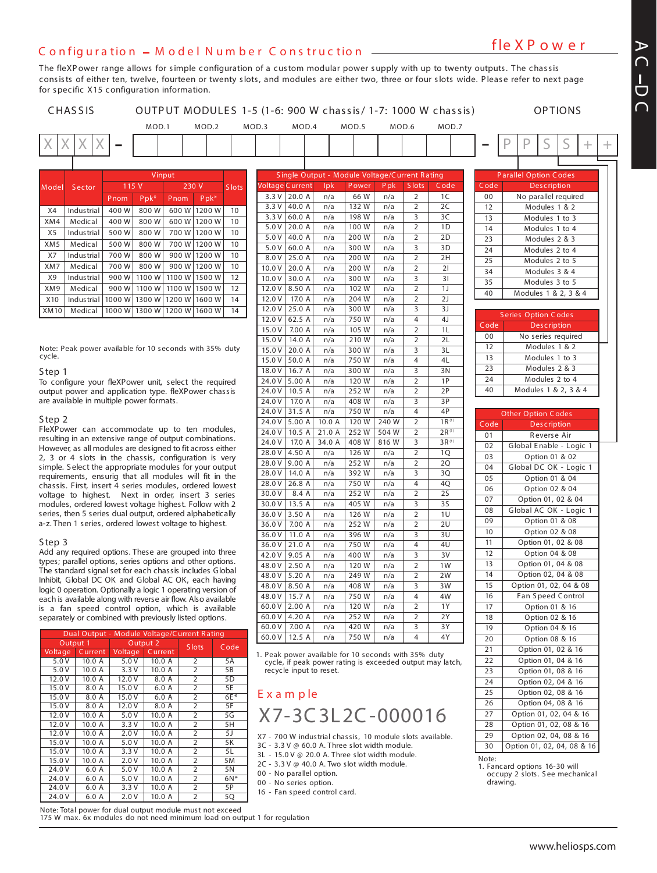# **fle X P o w e r <sup>C</sup> <sup>o</sup> <sup>n</sup> fig <sup>u</sup> <sup>r</sup> <sup>a</sup> tio <sup>n</sup> <sup>M</sup> <sup>o</sup> <sup>d</sup> <sup>e</sup> <sup>l</sup> <sup>N</sup> <sup>u</sup> <sup>m</sup> <sup>b</sup> <sup>e</sup> <sup>r</sup> <sup>C</sup> <sup>o</sup> <sup>n</sup> <sup>s</sup> tr <sup>u</sup> <sup>c</sup> tio <sup>n</sup>**

The fleXPower range allows for simple configuration of a custom modular power supply with up to twenty outputs. The chassis consists of either ten, twelve, fourteen or twenty slots, and modules are either two, three or four slots wide. Please refer to next page for specific X15 configuration information.



**A C D C**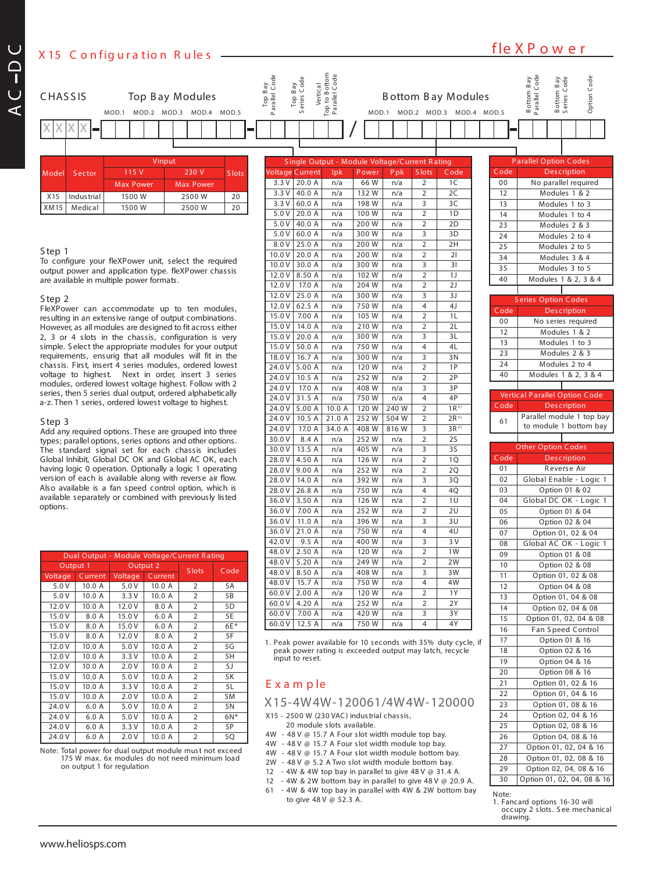**fle X P o w e r <sup>X</sup> <sup>15</sup> <sup>C</sup> <sup>o</sup> <sup>n</sup> fig <sup>u</sup> <sup>r</sup> <sup>a</sup> tio <sup>n</sup> <sup>R</sup> <sup>u</sup> le <sup>s</sup>**

**C**



www.heliosps.com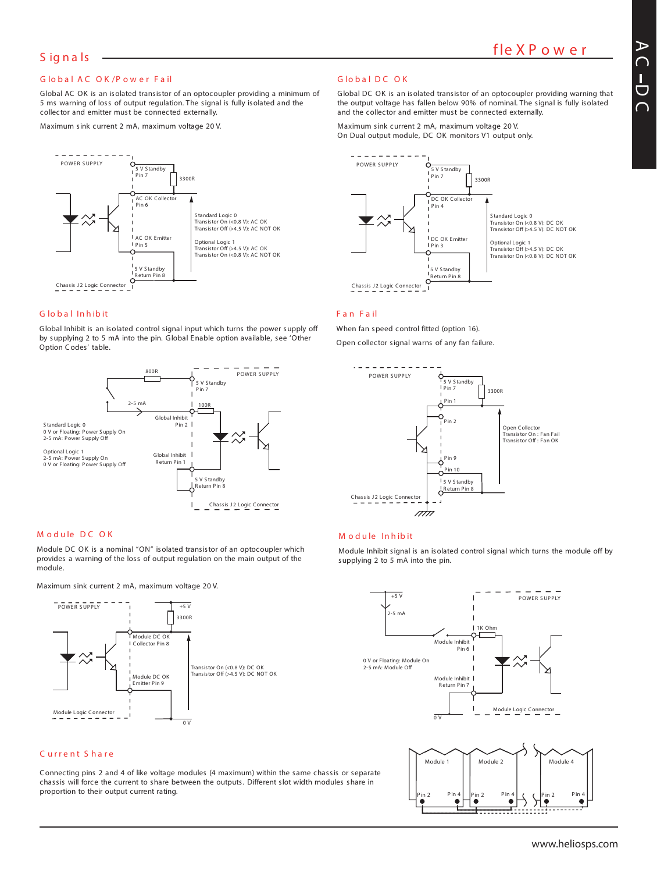#### **G lo b a l A C O K /P o w e r F a il**

Global AC OK is an isolated transistor of an optocoupler providing a minimum of 5 ms warning of loss of output regulation. The signal is fully isolated and the collector and emitter must be connected externally.

Maximum sink current 2 mA, maximum voltage 20 V.



#### **G lo b a l In h ib it**

Global Inhibit is an isolated control signal input which turns the power supply off by supplying 2 to 5 mA into the pin. Global Enable option available, see 'Other Option Codes' table.



#### **M o d u le D C O K**

Module DC OK is a nominal "ON" isolated transistor of an optocoupler which provides a warning of the loss of output regulation on the main output of the module.

Maximum sink current 2 mA, maximum voltage 20 V.



#### **C u r r e n t S h a r e**

Connecting pins 2 and 4 of like voltage modules (4 maximum) within the same chassis or separate chassis will force the current to share between the outputs. Different slot width modules share in proportion to their output current rating.

#### **G lo b a l D C O K**

Global DC OK is an isolated transistor of an optocoupler providing warning that the output voltage has fallen below 90% of nominal. The signal is fully isolated and the collector and emitter must be connected externally.

Maximum sink current 2 mA, maximum voltage 20 V. On Dual output module, DC OK monitors V1 output only.



#### **F a n F a il**

When fan speed control fitted (option 16). Open collector signal warns of any fan failure.



#### **M o d u le In h ib it**

Module Inhibit signal is an isolated control signal which turns the module off by supplying 2 to 5 mA into the pin.



C

 $\bullet$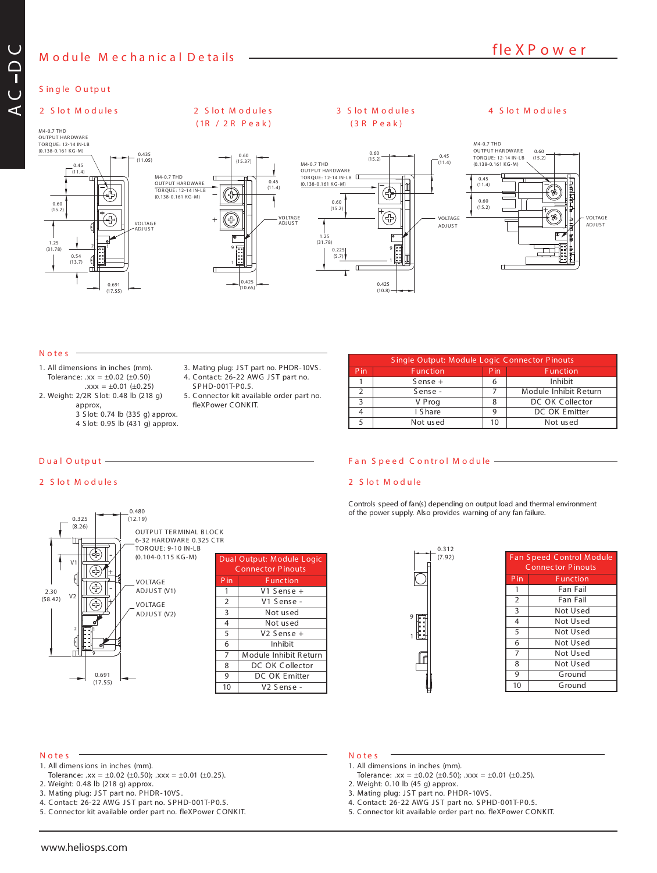## **M o d u le M e c h a n ic a l D e ta ils**

M4-0.7 THD <u>OUTPUT HARDWARE</u><br>TORQUE: 12-14 IN-LB (0.138-0.161 KG-M)

## **S in g le O u tp u t**

#### **2 S lo t M o d u le s**

M4-0.7 THD OUTPUT HARDWAR E TORQUE: 12-14 IN-LB (0.138-0.161 KG-M) 0.435

**AC**

**DC**



## **( 1R / 2 R P e a k )**

 $\overline{\mathbb{F}}$ G

0.60  $(15.37)$ 

# **( 3 R P e a k )**



#### $N$  otes  $=$

- 1. All dimensions in inches (mm). Tolerance:  $xx = \pm 0.02$  ( $\pm 0.50$ )
- $.xxx = ±0.01 (±0.25)$ 2. Weight: 2/2R S lot: 0.48 lb (218 g) approx,
	- 3 S lot: 0.74 lb (335 g) approx.
	- 4 S lot: 0.95 lb (431 g) approx.
- 
- 3. Mating plug: JST part no. PHDR-10VS. 4. Contact: 26-22 AWG JST part no.

42P (10.65)

1 9

′⊹,

S PHD-001T-P0.5. 5. Connector kit available order part no. fleXPower CONKIT.

**2 S lo t M o d u le s**

#### **D u a l O u tp u t F a n S p e e d C o n tr o l M o d u le**

1 Sense + 6

#### **2 S lo t M o d u le**

Controls speed of fan(s) depending on output load and thermal environment of the power supply. Also provides warning of any fan failure.

S ingle Output: Module Logic Connector P inouts

2 Sense - 7 Module Inhibit Return 3 V Prog 8 DC OK Collector 4 | I Share 9 | DC OK Emitter 5 Not used 10 Not used

Pin Function Pin Function<br>1 Sense + 6 Inhibit



| Dual Output: Module Logic |                        |  |  |  |
|---------------------------|------------------------|--|--|--|
| <b>Connector Pinouts</b>  |                        |  |  |  |
| P in                      | <b>Function</b>        |  |  |  |
| 1                         | V1 Sense +             |  |  |  |
| $\overline{2}$            | V1 Sense -             |  |  |  |
| 3                         | Not used               |  |  |  |
| $\overline{4}$            | Not used               |  |  |  |
| 5                         | $V2$ Sense +           |  |  |  |
| 6                         | Inhibit                |  |  |  |
| $\overline{7}$            | Module Inhibit Return  |  |  |  |
| 8                         | DC OK Collector        |  |  |  |
| 9                         | DC OK Emitter          |  |  |  |
| 10                        | V <sub>2</sub> Sense - |  |  |  |
|                           |                        |  |  |  |

9 1

0.312 (7.92)



#### **N o te s**

1. All dimensions in inches (mm).

(17.55)

- Tolerance:  $xx = \pm 0.02$  ( $\pm 0.50$ );  $xxx = \pm 0.01$  ( $\pm 0.25$ ).
- 2. Weight: 0.48 lb (218 g) approx.
- 3. Mating plug: JST part no. PHDR-10VS.
- 4. Contact: 26-22 AWG JST part no. SPHD-001T-P0.5.
- 5. Connector kit available order part no. fleXPower CONKIT.

#### **N o te s**

- 1. All dimensions in inches (mm). Tolerance:  $xx = \pm 0.02$  ( $\pm 0.50$ );  $xxx = \pm 0.01$  ( $\pm 0.25$ ).
- 2. Weight: 0.10 lb (45 g) approx.
- 3. Mating plug: JST part no. PHDR-10VS.
- 4. Contact: 26-22 AWG JST part no. SPHD-001T-P0.5.
- 5. Connector kit available order part no. fleXPower CONKIT.



# 2 Slot Modules 3 Slot Modules 4 Slot Modules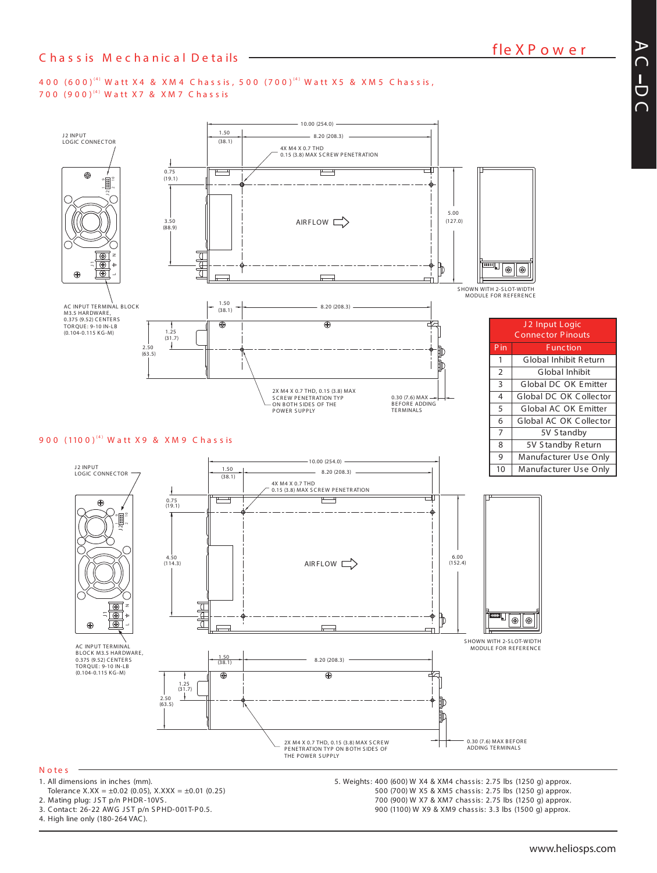#### 400 (600) $^{(4)}$  Watt X4 & XM4 Chassis, 500 (700) $^{(4)}$  Watt X5 & XM5 Chassis, 700 (900)" Watt X7 & XM7 Chassis



#### **N o te s**

- 1. All dimensions in inches (mm).
- Tolerance  $X.XX = \pm 0.02$  (0.05),  $X.XXX = \pm 0.01$  (0.25)
- 2. Mating plug: JST p/n PHDR-10VS.
- 3. Contact: 26-22 AWG JST p/n SPHD-001T-P0.5.
- 4. High line only (180-264 VAC).

5. Weights: 400 (600) W X4 & XM4 chassis: 2.75 lbs (1250 g) approx. (700) W X5 & XM5 chassis: 2.75 lbs (1250 g) approx. (900) W X7 & XM7 chassis: 2.75 lbs (1250 g) approx. (1100) W X9 & XM9 chassis: 3.3 lbs (1500 g) approx.

**A C D**  $\overline{\phantom{1}}$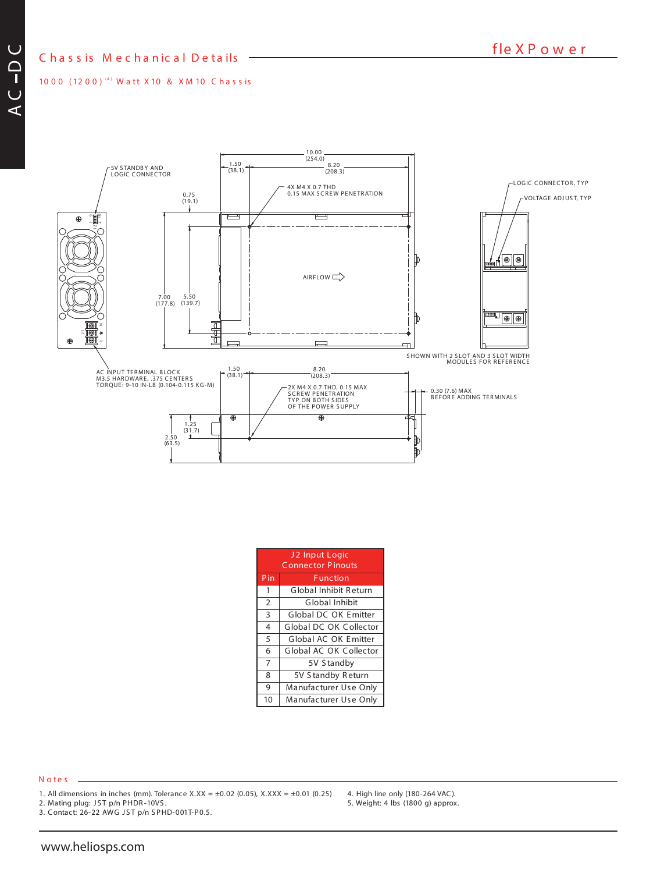## **C h a s s is M e c h a n ic a l D e ta ils**

1000 (1200)<sup>(4)</sup> Watt X10 & XM10 Chassis



| J2 Input Logic<br><b>Connector Pinouts</b> |                        |  |  |  |
|--------------------------------------------|------------------------|--|--|--|
| Pin                                        | <b>Function</b>        |  |  |  |
| 1                                          | Global Inhibit Return  |  |  |  |
| $\overline{2}$                             | Global Inhibit         |  |  |  |
| $\overline{3}$                             | Global DC OK Emitter   |  |  |  |
| 4                                          | Global DC OK Collector |  |  |  |
| 5                                          | Global AC OK Emitter   |  |  |  |
| 6                                          | Global AC OK Collector |  |  |  |
| $\overline{7}$                             | 5V Standby             |  |  |  |
| 8                                          | 5V Standby Return      |  |  |  |
| 9                                          | Manufacturer Use Only  |  |  |  |
| 10                                         | Manufacturer Use Only  |  |  |  |

#### **N o te s**

1. All dimensions in inches (mm). Tolerance X.XX =  $\pm 0.02$  (0.05), X.XXX =  $\pm 0.01$  (0.25)

2. Mating plug: JST p/n PHDR-10VS.

3. Contact: 26-22 AWG JST p/n SPHD-001T-P0.5.

4. High line only (180-264 VAC). 5. Weight: 4 lbs (1800 g) approx.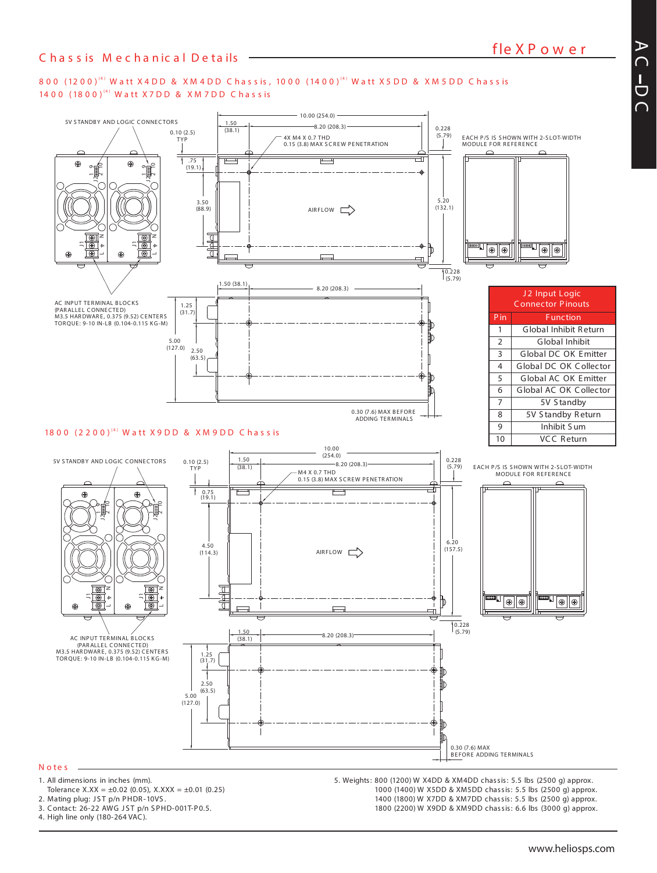#### 800 (1200)'<sup>4)</sup> Watt X4DD & XM4DD Chassis, 1000 (1400)'<sup>4)</sup> Watt X5DD & XM5DD Chassis 1400 (1800)<sup>(4)</sup> Watt X7DD & XM7DD Chassis



Tolerance X.XX =  $\pm$ 0.02 (0.05), X.XXX =  $\pm$ 0.01 (0.25)

- 2. Mating plug: JST p/n PHDR-10VS.
- 3. Contact: 26-22 AWG JST p/n SPHD-001T-P0.5.

4. High line only (180-264 VAC).

1000 (1400) W X5DD & XM5DD chassis: 5.5 lbs (2500 g) approx. 1400 (1800) W X7DD & XM7DD chassis: 5.5 lbs (2500 g) approx. 1800 (2200) W X9DD & XM9DD chassis: 6.6 lbs (3000 g) approx.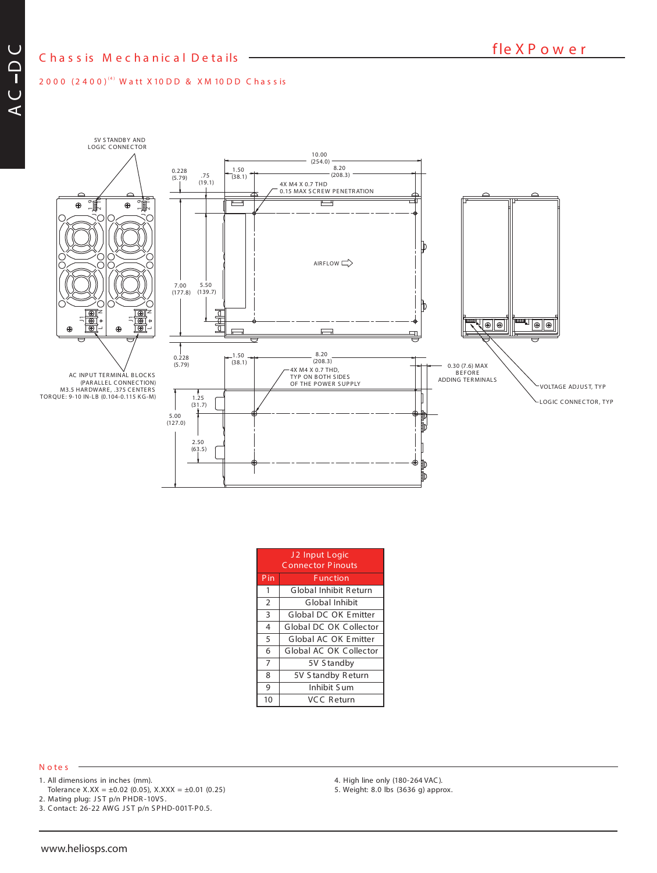#### 2000 (2400)" Watt X10DD & XM 10DD Chassis



5V S TANDB Y AND LOGIC CONNECTOR



| J2 Input Logic<br><b>Connector Pinouts</b> |                        |  |  |  |
|--------------------------------------------|------------------------|--|--|--|
| Pin                                        | <b>Function</b>        |  |  |  |
| 1                                          | Global Inhibit Return  |  |  |  |
| 2                                          | Global Inhibit         |  |  |  |
| 3                                          | Global DC OK Emitter   |  |  |  |
| 4                                          | Global DC OK Collector |  |  |  |
| 5                                          | Global AC OK Emitter   |  |  |  |
| 6                                          | Global AC OK Collector |  |  |  |
| $\overline{7}$                             | 5V Standby             |  |  |  |
| 8                                          | 5V Standby Return      |  |  |  |
| 9                                          | Inhibit Sum            |  |  |  |
| 10                                         | VCC Return             |  |  |  |

#### **N o te s**

- 1. All dimensions in inches (mm).
- Tolerance X.XX =  $\pm 0.02$  (0.05), X.XXX =  $\pm 0.01$  (0.25)
- 2. Mating plug: JST p/n PHDR-10VS.
- 3. Contact: 26-22 AWG JST p/n SPHD-001T-P0.5.
- 4. High line only (180-264 VAC).
- 5. Weight: 8.0 lbs (3636 g) approx.